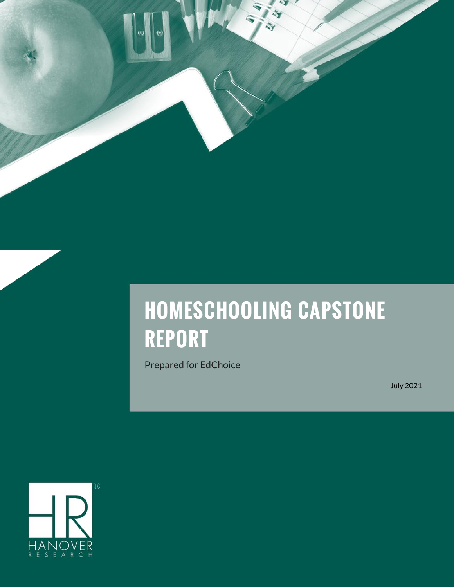# **HOMESCHOOLING CAPSTONE REPORT**

Prepared for EdChoice

July 2021

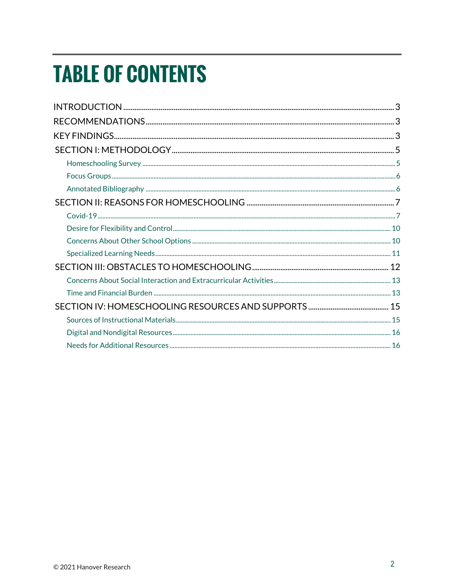# **TABLE OF CONTENTS**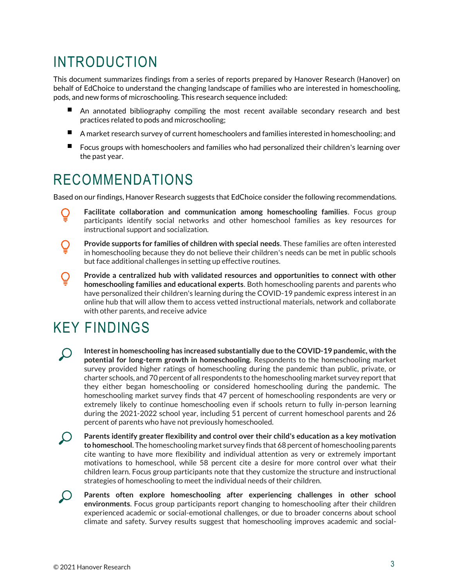# <span id="page-2-0"></span>INTRODUCTION

This document summarizes findings from a series of reports prepared by Hanover Research (Hanover) on behalf of EdChoice to understand the changing landscape of families who are interested in homeschooling, pods, and new forms of microschooling. This research sequence included:

- An annotated bibliography compiling the most recent available secondary research and best practices related to pods and microschooling;
- $\blacksquare$ A market research survey of current homeschoolers and families interested in homeschooling; and
- Focus groups with homeschoolers and families who had personalized their children's learning over the past year.

# <span id="page-2-1"></span>RECOMMENDATIONS

Based on our findings, Hanover Research suggests that EdChoice consider the following recommendations.

**Facilitate collaboration and communication among homeschooling families**. Focus group participants identify social networks and other homeschool families as key resources for instructional support and socialization.

Ő

 $\overline{\mathsf{Q}}$ 

**Provide supports for families of children with special needs**. These families are often interested in homeschooling because they do not believe their children's needs can be met in public schools but face additional challenges in setting up effective routines.

**Provide a centralized hub with validated resources and opportunities to connect with other homeschooling families and educational experts**. Both homeschooling parents and parents who have personalized their children's learning during the COVID-19 pandemic express interest in an online hub that will allow them to access vetted instructional materials, network and collaborate with other parents, and receive advice

# <span id="page-2-2"></span>KEY FINDINGS

**Interest in homeschooling has increased substantially due to the COVID-19 pandemic, with the potential for long-term growth in homeschooling**. Respondents to the homeschooling market survey provided higher ratings of homeschooling during the pandemic than public, private, or charter schools, and 70 percent of all respondents to the homeschooling market survey report that they either began homeschooling or considered homeschooling during the pandemic. The homeschooling market survey finds that 47 percent of homeschooling respondents are very or extremely likely to continue homeschooling even if schools return to fully in-person learning during the 2021-2022 school year, including 51 percent of current homeschool parents and 26 percent of parents who have not previously homeschooled.

**Parents identify greater flexibility and control over their child's education as a key motivation to homeschool**. The homeschooling market survey finds that 68 percent of homeschooling parents cite wanting to have more flexibility and individual attention as very or extremely important motivations to homeschool, while 58 percent cite a desire for more control over what their children learn. Focus group participants note that they customize the structure and instructional strategies of homeschooling to meet the individual needs of their children.

**Parents often explore homeschooling after experiencing challenges in other school**   $\bigcup$ **environments**. Focus group participants report changing to homeschooling after their children experienced academic or social-emotional challenges, or due to broader concerns about school climate and safety. Survey results suggest that homeschooling improves academic and social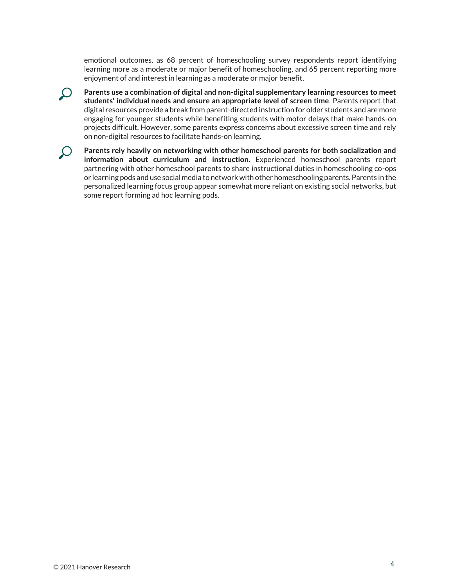emotional outcomes, as 68 percent of homeschooling survey respondents report identifying learning more as a moderate or major benefit of homeschooling, and 65 percent reporting more enjoyment of and interest in learning as a moderate or major benefit.

**Parents use a combination of digital and non-digital supplementary learning resources to meet students' individual needs and ensure an appropriate level of screen time**. Parents report that digital resources provide a break from parent-directed instruction for older students and are more engaging for younger students while benefiting students with motor delays that make hands-on projects difficult. However, some parents express concerns about excessive screen time and rely on non-digital resources to facilitate hands-on learning.



**Parents rely heavily on networking with other homeschool parents for both socialization and information about curriculum and instruction**. Experienced homeschool parents report partnering with other homeschool parents to share instructional duties in homeschooling co-ops or learning pods and use social media to network with other homeschooling parents. Parents in the personalized learning focus group appear somewhat more reliant on existing social networks, but some report forming ad hoc learning pods.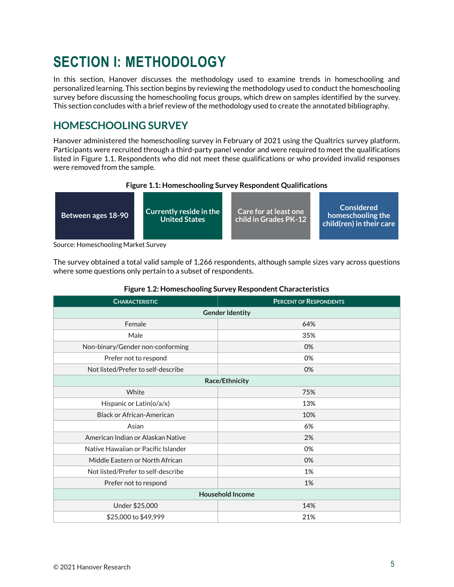# <span id="page-4-0"></span>**SECTION I: METHODOLOGY**

In this section, Hanover discusses the methodology used to examine trends in homeschooling and personalized learning. This section begins by reviewing the methodology used to conduct the homeschooling survey before discussing the homeschooling focus groups, which drew on samples identified by the survey. This section concludes with a brief review of the methodology used to create the annotated bibliography.

## <span id="page-4-1"></span>**HOMESCHOOLING SURVEY**

Hanover administered the homeschooling survey in February of 2021 using the Qualtrics survey platform. Participants were recruited through a third-party panel vendor and were required to meet the qualifications listed in Figure 1.1. Respondents who did not meet these qualifications or who provided invalid responses were removed from the sample.





Source: Homeschooling Market Survey

The survey obtained a total valid sample of 1,266 respondents, although sample sizes vary across questions where some questions only pertain to a subset of respondents.

| <b>CHARACTERISTIC</b>               | <b>PERCENT OF RESPONDENTS</b> |  |  |  |
|-------------------------------------|-------------------------------|--|--|--|
| <b>Gender Identity</b>              |                               |  |  |  |
| Female                              | 64%                           |  |  |  |
| Male                                | 35%                           |  |  |  |
| Non-binary/Gender non-conforming    | 0%                            |  |  |  |
| Prefer not to respond               | 0%                            |  |  |  |
| Not listed/Prefer to self-describe  | 0%                            |  |  |  |
| Race/Ethnicity                      |                               |  |  |  |
| White                               | 75%                           |  |  |  |
| Hispanic or Latin(o/a/x)            | 13%                           |  |  |  |
| <b>Black or African-American</b>    | 10%                           |  |  |  |
| Asian                               | 6%                            |  |  |  |
| American Indian or Alaskan Native   | 2%                            |  |  |  |
| Native Hawaiian or Pacific Islander | 0%                            |  |  |  |
| Middle Eastern or North African     | 0%                            |  |  |  |
| Not listed/Prefer to self-describe  | 1%                            |  |  |  |
| Prefer not to respond               | 1%                            |  |  |  |
| <b>Household Income</b>             |                               |  |  |  |
| Under \$25,000                      | 14%                           |  |  |  |
| \$25,000 to \$49,999                | 21%                           |  |  |  |

#### **Figure 1.2: Homeschooling Survey Respondent Characteristics**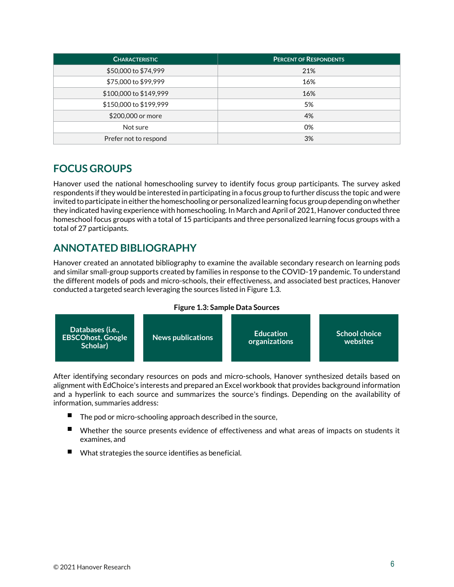| <b>CHARACTERISTIC</b>  | <b>PERCENT OF RESPONDENTS</b> |  |  |
|------------------------|-------------------------------|--|--|
| \$50,000 to \$74,999   | 21%                           |  |  |
| \$75,000 to \$99,999   | 16%                           |  |  |
| \$100,000 to \$149,999 | 16%                           |  |  |
| \$150,000 to \$199,999 | 5%                            |  |  |
| \$200,000 or more      | 4%                            |  |  |
| Not sure               | 0%                            |  |  |
| Prefer not to respond  | 3%                            |  |  |

## <span id="page-5-0"></span>**FOCUS GROUPS**

Hanover used the national homeschooling survey to identify focus group participants. The survey asked respondents if they would be interested in participating in a focus group to further discuss the topic and were invited to participate in either the homeschooling or personalized learning focus group depending on whether they indicated having experience with homeschooling. In March and April of 2021, Hanover conducted three homeschool focus groups with a total of 15 participants and three personalized learning focus groups with a total of 27 participants.

## <span id="page-5-1"></span>**ANNOTATED BIBLIOGRAPHY**

Hanover created an annotated bibliography to examine the available secondary research on learning pods and similar small-group supports created by families in response to the COVID-19 pandemic. To understand the different models of pods and micro-schools, their effectiveness, and associated best practices, Hanover conducted a targeted search leveraging the sources listed in Figure 1.3.

#### **Figure 1.3: Sample Data Sources**



After identifying secondary resources on pods and micro-schools, Hanover synthesized details based on alignment with EdChoice's interests and prepared an Excel workbook that provides background information and a hyperlink to each source and summarizes the source's findings. Depending on the availability of information, summaries address:

- The pod or micro-schooling approach described in the source,
- $\blacksquare$ Whether the source presents evidence of effectiveness and what areas of impacts on students it examines, and
- What strategies the source identifies as beneficial.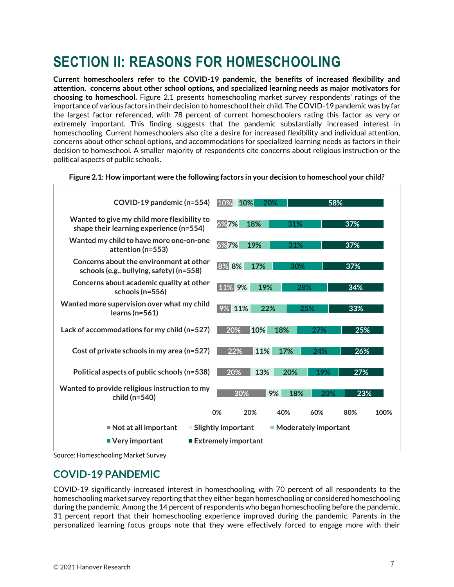# <span id="page-6-0"></span>**SECTION II: REASONS FOR HOMESCHOOLING**

**Current homeschoolers refer to the COVID-19 pandemic, the benefits of increased flexibility and attention, concerns about other school options, and specialized learning needs as major motivators for choosing to homeschool.** Figure 2.1 presents homeschooling market survey respondents' ratings of the importance of various factors in their decision to homeschool their child. The COVID-19 pandemic was by far the largest factor referenced, with 78 percent of current homeschoolers rating this factor as very or extremely important. This finding suggests that the pandemic substantially increased interest in homeschooling. Current homeschoolers also cite a desire for increased flexibility and individual attention, concerns about other school options, and accommodations for specialized learning needs as factors in their decision to homeschool. A smaller majority of respondents cite concerns about religious instruction or the political aspects of public schools.



#### **Figure 2.1: How important were the following factors in your decision to homeschool your child?**

Source: Homeschooling Market Survey

### <span id="page-6-1"></span>**COVID-19 PANDEMIC**

COVID-19 significantly increased interest in homeschooling, with 70 percent of all respondents to the homeschooling market survey reporting that they either began homeschooling or considered homeschooling during the pandemic. Among the 14 percent of respondents who began homeschooling before the pandemic, 31 percent report that their homeschooling experience improved during the pandemic. Parents in the personalized learning focus groups note that they were effectively forced to engage more with their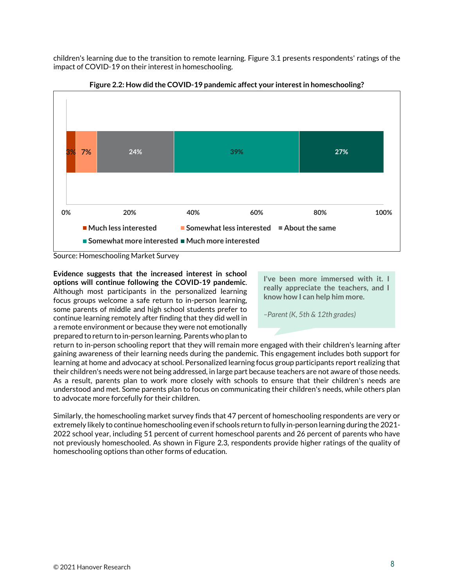children's learning due to the transition to remote learning. Figure 3.1 presents respondents' ratings of the impact of COVID-19 on their interest in homeschooling.



**Figure 2.2: How did the COVID-19 pandemic affect your interest in homeschooling?**

Source: Homeschooling Market Survey

**Evidence suggests that the increased interest in school options will continue following the COVID-19 pandemic**. Although most participants in the personalized learning focus groups welcome a safe return to in-person learning, some parents of middle and high school students prefer to continue learning remotely after finding that they did well in a remote environment or because they were not emotionally prepared to return to in-person learning. Parents who plan to

**I've been more immersed with it. I really appreciate the teachers, and I know how I can help him more.**

*–Parent (K, 5th & 12th grades)*

return to in-person schooling report that they will remain more engaged with their children's learning after gaining awareness of their learning needs during the pandemic. This engagement includes both support for learning at home and advocacy at school. Personalized learning focus group participants report realizing that their children's needs were not being addressed, in large part because teachers are not aware of those needs. As a result, parents plan to work more closely with schools to ensure that their children's needs are understood and met. Some parents plan to focus on communicating their children's needs, while others plan to advocate more forcefully for their children.

Similarly, the homeschooling market survey finds that 47 percent of homeschooling respondents are very or extremely likely to continue homeschooling even if schools return to fully in-person learning during the 2021- 2022 school year, including 51 percent of current homeschool parents and 26 percent of parents who have not previously homeschooled. As shown in Figure 2.3, respondents provide higher ratings of the quality of homeschooling options than other forms of education.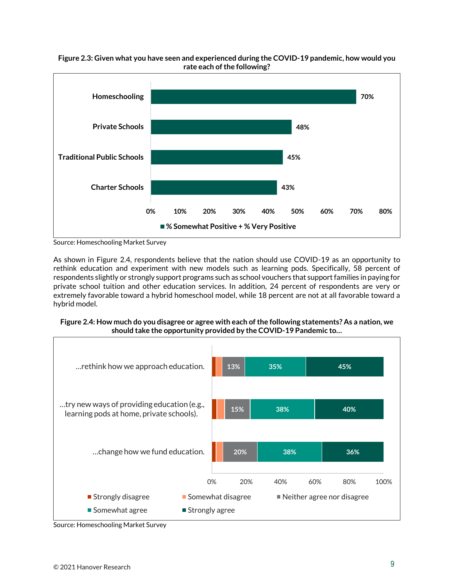



Source: Homeschooling Market Survey

As shown in Figure 2.4, respondents believe that the nation should use COVID-19 as an opportunity to rethink education and experiment with new models such as learning pods. Specifically, 58 percent of respondents slightly or strongly support programs such as school vouchers that support families in paying for private school tuition and other education services. In addition, 24 percent of respondents are very or extremely favorable toward a hybrid homeschool model, while 18 percent are not at all favorable toward a hybrid model.





Source: Homeschooling Market Survey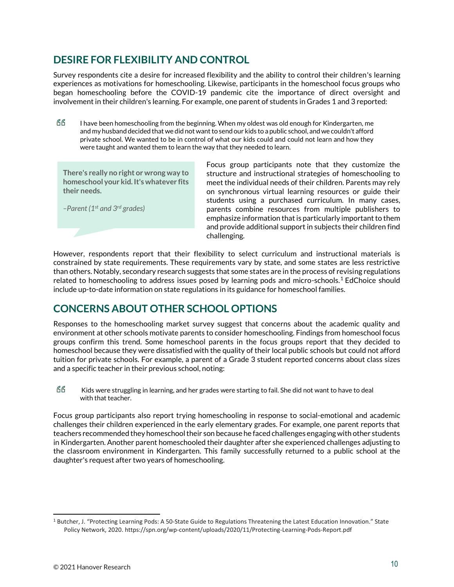### <span id="page-9-0"></span>**DESIRE FOR FLEXIBILITY AND CONTROL**

Survey respondents cite a desire for increased flexibility and the ability to control their children's learning experiences as motivations for homeschooling. Likewise, participants in the homeschool focus groups who began homeschooling before the COVID-19 pandemic cite the importance of direct oversight and involvement in their children's learning. For example, one parent of students in Grades 1 and 3 reported:

GG I have been homeschooling from the beginning. When my oldest was old enough for Kindergarten, me and my husband decided that we did not want to send our kids to a public school, and we couldn't afford private school. We wanted to be in control of what our kids could and could not learn and how they were taught and wanted them to learn the way that they needed to learn.

**There's really no right or wrong way to homeschool your kid. It's whatever fits their needs.**

*–Parent (1 st and 3rd grades)*

Focus group participants note that they customize the structure and instructional strategies of homeschooling to meet the individual needs of their children. Parents may rely on synchronous virtual learning resources or guide their students using a purchased curriculum. In many cases, parents combine resources from multiple publishers to emphasize information that is particularly important to them and provide additional support in subjects their children find challenging.

However, respondents report that their flexibility to select curriculum and instructional materials is constrained by state requirements. These requirements vary by state, and some states are less restrictive than others. Notably, secondary research suggests that some states are in the process of revising regulations related to homeschooling to address issues posed by learning pods and micro-schools.<sup>1</sup> EdChoice should include up-to-date information on state regulations in its guidance for homeschool families.

# <span id="page-9-1"></span>**CONCERNS ABOUT OTHER SCHOOL OPTIONS**

Responses to the homeschooling market survey suggest that concerns about the academic quality and environment at other schools motivate parents to consider homeschooling. Findings from homeschool focus groups confirm this trend. Some homeschool parents in the focus groups report that they decided to homeschool because they were dissatisfied with the quality of their local public schools but could not afford tuition for private schools. For example, a parent of a Grade 3 student reported concerns about class sizes and a specific teacher in their previous school, noting:

GG Kids were struggling in learning, and her grades were starting to fail. She did not want to have to deal with that teacher.

Focus group participants also report trying homeschooling in response to social-emotional and academic challenges their children experienced in the early elementary grades. For example, one parent reports that teachers recommended they homeschool their son because he faced challenges engaging with other students in Kindergarten. Another parent homeschooled their daughter after she experienced challenges adjusting to the classroom environment in Kindergarten. This family successfully returned to a public school at the daughter's request after two years of homeschooling.

<sup>1</sup> Butcher, J. "Protecting Learning Pods: A 50-State Guide to Regulations Threatening the Latest Education Innovation." State Policy Network, 2020. https://spn.org/wp-content/uploads/2020/11/Protecting-Learning-Pods-Report.pdf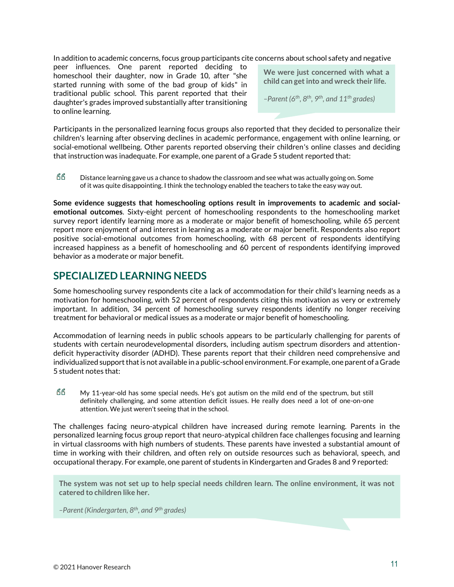In addition to academic concerns, focus group participants cite concerns about school safety and negative

peer influences. One parent reported deciding to homeschool their daughter, now in Grade 10, after "she started running with some of the bad group of kids" in traditional public school. This parent reported that their daughter's grades improved substantially after transitioning to online learning.

**We were just concerned with what a child can get into and wreck their life.**

*–Parent (6 th, 8th, 9th, and 11th grades)*

Participants in the personalized learning focus groups also reported that they decided to personalize their children's learning after observing declines in academic performance, engagement with online learning, or social-emotional wellbeing. Other parents reported observing their children's online classes and deciding that instruction was inadequate. For example, one parent of a Grade 5 student reported that:

Distance learning gave us a chance to shadow the classroom and see what was actually going on. Some of it was quite disappointing. I think the technology enabled the teachers to take the easy way out.

**Some evidence suggests that homeschooling options result in improvements to academic and socialemotional outcomes**. Sixty-eight percent of homeschooling respondents to the homeschooling market survey report identify learning more as a moderate or major benefit of homeschooling, while 65 percent report more enjoyment of and interest in learning as a moderate or major benefit. Respondents also report positive social-emotional outcomes from homeschooling, with 68 percent of respondents identifying increased happiness as a benefit of homeschooling and 60 percent of respondents identifying improved behavior as a moderate or major benefit.

#### <span id="page-10-0"></span>**SPECIALIZED LEARNING NEEDS**

Some homeschooling survey respondents cite a lack of accommodation for their child's learning needs as a motivation for homeschooling, with 52 percent of respondents citing this motivation as very or extremely important. In addition, 34 percent of homeschooling survey respondents identify no longer receiving treatment for behavioral or medical issues as a moderate or major benefit of homeschooling.

Accommodation of learning needs in public schools appears to be particularly challenging for parents of students with certain neurodevelopmental disorders, including autism spectrum disorders and attentiondeficit hyperactivity disorder (ADHD). These parents report that their children need comprehensive and individualized support that is not available in a public-school environment. For example, one parent of a Grade 5 student notes that:

GG My 11-year-old has some special needs. He's got autism on the mild end of the spectrum, but still definitely challenging, and some attention deficit issues. He really does need a lot of one-on-one attention. We just weren't seeing that in the school.

The challenges facing neuro-atypical children have increased during remote learning. Parents in the personalized learning focus group report that neuro-atypical children face challenges focusing and learning in virtual classrooms with high numbers of students. These parents have invested a substantial amount of time in working with their children, and often rely on outside resources such as behavioral, speech, and occupational therapy. For example, one parent of students in Kindergarten and Grades 8 and 9 reported:

**The system was not set up to help special needs children learn. The online environment, it was not catered to children like her.**

*–Parent (Kindergarten, 8th, and 9th grades)*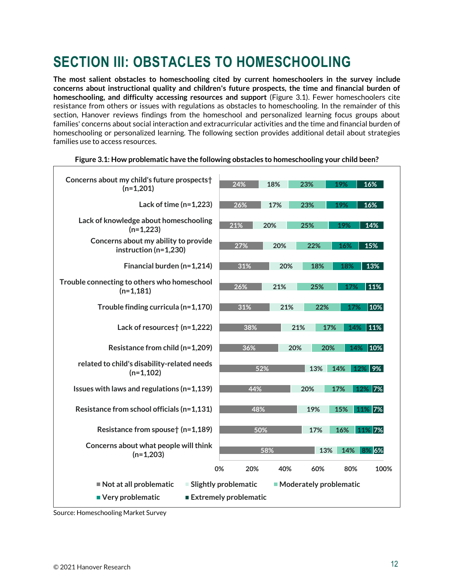# <span id="page-11-0"></span>**SECTION III: OBSTACLES TO HOMESCHOOLING**

**The most salient obstacles to homeschooling cited by current homeschoolers in the survey include concerns about instructional quality and children's future prospects, the time and financial burden of homeschooling, and difficulty accessing resources and support** (Figure 3.1). Fewer homeschoolers cite resistance from others or issues with regulations as obstacles to homeschooling. In the remainder of this section, Hanover reviews findings from the homeschool and personalized learning focus groups about families' concerns about social interaction and extracurricular activities and the time and financial burden of homeschooling or personalized learning. The following section provides additional detail about strategies families use to access resources.

| Concerns about my child's future prospects†<br>$(n=1,201)$        | 24%                    | 18% | 23%                      | 19%     | 16%      |
|-------------------------------------------------------------------|------------------------|-----|--------------------------|---------|----------|
| Lack of time $(n=1,223)$                                          | 26%                    | 17% | 23%                      | 19%     | 16%      |
| Lack of knowledge about homeschooling<br>$(n=1,223)$              | 21%                    | 20% | 25%                      | 19%     | 14%      |
| Concerns about my ability to provide<br>instruction ( $n=1,230$ ) | 27%                    | 20% | 22%                      | 16%     | 15%      |
| Financial burden (n=1,214)                                        | 31%                    | 20% | 18%                      | 18%     | 13%      |
| Trouble connecting to others who homeschool<br>$(n=1,181)$        | 26%                    | 21% | 25%                      | 17%     | 11%      |
| Trouble finding curricula (n=1,170)                               | 31%                    | 21% | 22%                      | 17%     | $ 10\% $ |
| Lack of resources† (n=1,222)                                      | 38%                    | 21% | 17%                      | 14% 11% |          |
| Resistance from child (n=1,209)                                   | 36%                    | 20% | 20%                      | 14%     | 10%      |
| related to child's disability-related needs<br>$(n=1,102)$        | 52%                    |     | 13%                      | 14%     | 12% 9%   |
| Issues with laws and regulations ( $n=1,139$ )                    | 44%                    |     | 20%                      | 17%     | 12% 7%   |
| Resistance from school officials (n=1,131)                        | 48%                    |     | 19%                      | 15%     | 11% 7%   |
| Resistance from spouse† (n=1,189)                                 | 50%                    |     | 17%                      | 16%     | 11% 7%   |
| Concerns about what people will think<br>$(n=1,203)$              |                        | 58% | 13%                      | 14%     | 8% 6%    |
|                                                                   | 0%<br>20%              | 40% | 60%                      | 80%     | 100%     |
| Not at all problematic                                            | ■ Slightly problematic |     | • Moderately problematic |         |          |
| ■ Very problematic<br>■ Extremely problematic                     |                        |     |                          |         |          |

#### **Figure 3.1: How problematic have the following obstacles to homeschooling your child been?**

Source: Homeschooling Market Survey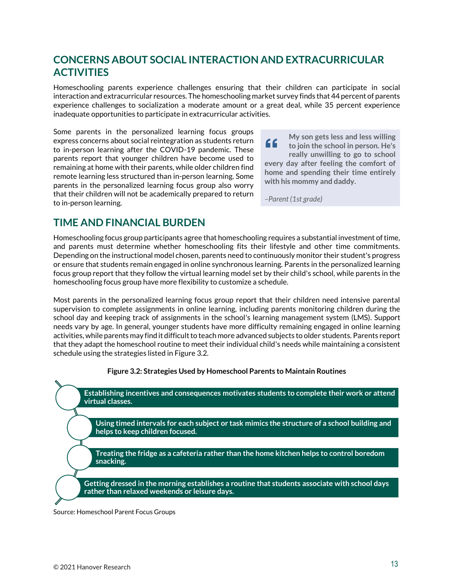## <span id="page-12-0"></span>**CONCERNS ABOUT SOCIAL INTERACTION AND EXTRACURRICULAR ACTIVITIES**

Homeschooling parents experience challenges ensuring that their children can participate in social interaction and extracurricular resources. The homeschooling market survey finds that 44 percent of parents experience challenges to socialization a moderate amount or a great deal, while 35 percent experience inadequate opportunities to participate in extracurricular activities.

Some parents in the personalized learning focus groups express concerns about social reintegration as students return to in-person learning after the COVID-19 pandemic. These parents report that younger children have become used to remaining at home with their parents, while older children find remote learning less structured than in-person learning. Some parents in the personalized learning focus group also worry that their children will not be academically prepared to return to in-person learning.

**My son gets less and less willing**  " **to join the school in person. He's really unwilling to go to school every day after feeling the comfort of home and spending their time entirely with his mommy and daddy.**

*–Parent (1st grade)*

### <span id="page-12-1"></span>**TIME AND FINANCIAL BURDEN**

Homeschooling focus group participants agree that homeschooling requires a substantial investment of time, and parents must determine whether homeschooling fits their lifestyle and other time commitments. Depending on the instructional model chosen, parents need to continuously monitor their student's progress or ensure that students remain engaged in online synchronous learning. Parents in the personalized learning focus group report that they follow the virtual learning model set by their child's school, while parents in the homeschooling focus group have more flexibility to customize a schedule.

Most parents in the personalized learning focus group report that their children need intensive parental supervision to complete assignments in online learning, including parents monitoring children during the school day and keeping track of assignments in the school's learning management system (LMS). Support needs vary by age. In general, younger students have more difficulty remaining engaged in online learning activities, while parents may find it difficult to teach more advanced subjects to older students. Parents report that they adapt the homeschool routine to meet their individual child's needs while maintaining a consistent schedule using the strategies listed in Figure 3.2.



**Establishing incentives and consequences motivates students to complete their work or attend virtual classes.** 

**Using timed intervals for each subject or task mimics the structure of a school building and helps to keep children focused.** 

**Treating the fridge as a cafeteria rather than the home kitchen helps to control boredom snacking.** 

**Getting dressed in the morning establishes a routine that students associate with school days rather than relaxed weekends or leisure days.**

Source: Homeschool Parent Focus Groups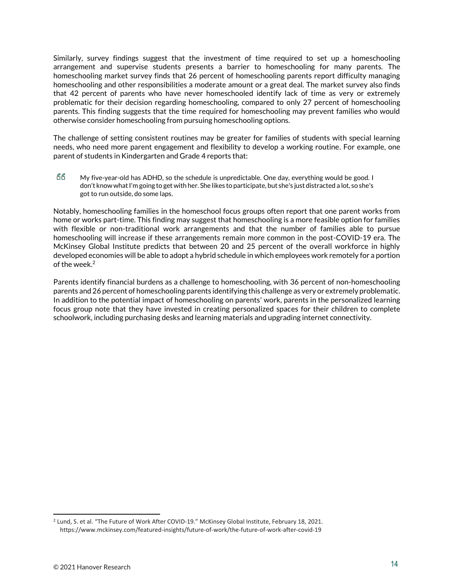Similarly, survey findings suggest that the investment of time required to set up a homeschooling arrangement and supervise students presents a barrier to homeschooling for many parents. The homeschooling market survey finds that 26 percent of homeschooling parents report difficulty managing homeschooling and other responsibilities a moderate amount or a great deal. The market survey also finds that 42 percent of parents who have never homeschooled identify lack of time as very or extremely problematic for their decision regarding homeschooling, compared to only 27 percent of homeschooling parents. This finding suggests that the time required for homeschooling may prevent families who would otherwise consider homeschooling from pursuing homeschooling options.

The challenge of setting consistent routines may be greater for families of students with special learning needs, who need more parent engagement and flexibility to develop a working routine. For example, one parent of students in Kindergarten and Grade 4 reports that:

GG My five-year-old has ADHD, so the schedule is unpredictable. One day, everything would be good. I don't know what I'm going to get with her. She likes to participate, but she's just distracted a lot, so she's got to run outside, do some laps.

Notably, homeschooling families in the homeschool focus groups often report that one parent works from home or works part-time. This finding may suggest that homeschooling is a more feasible option for families with flexible or non-traditional work arrangements and that the number of families able to pursue homeschooling will increase if these arrangements remain more common in the post-COVID-19 era. The McKinsey Global Institute predicts that between 20 and 25 percent of the overall workforce in highly developed economies will be able to adopt a hybrid schedule in which employees work remotely for a portion of the week.<sup>2</sup>

Parents identify financial burdens as a challenge to homeschooling, with 36 percent of non-homeschooling parents and 26 percent of homeschooling parents identifying this challenge as very or extremely problematic. In addition to the potential impact of homeschooling on parents' work, parents in the personalized learning focus group note that they have invested in creating personalized spaces for their children to complete schoolwork, including purchasing desks and learning materials and upgrading internet connectivity.

<sup>2</sup> Lund, S. et al. "The Future of Work After COVID-19." McKinsey Global Institute, February 18, 2021. https://www.mckinsey.com/featured-insights/future-of-work/the-future-of-work-after-covid-19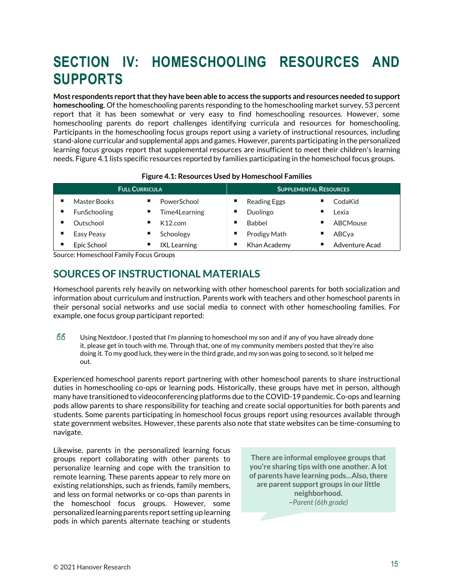# <span id="page-14-0"></span>**SECTION IV: HOMESCHOOLING RESOURCES AND SUPPORTS**

**Most respondents report that they have been able to access the supports and resources needed to support homeschooling**. Of the homeschooling parents responding to the homeschooling market survey, 53 percent report that it has been somewhat or very easy to find homeschooling resources. However, some homeschooling parents do report challenges identifying curricula and resources for homeschooling. Participants in the homeschooling focus groups report using a variety of instructional resources, including stand-alone curricular and supplemental apps and games. However, parents participating in the personalized learning focus groups report that supplemental resources are insufficient to meet their children's learning needs. Figure 4.1 lists specific resources reported by families participating in the homeschool focus groups.

| <b>FULL CURRICULA</b> |                     | <b>SUPPLEMENTAL RESOURCES</b> |                     |  |  |
|-----------------------|---------------------|-------------------------------|---------------------|--|--|
| Master Books          | PowerSchool         | ш<br><b>Reading Eggs</b>      | CodaKid             |  |  |
| <b>FunSchooling</b>   | Time4Learning<br>ш  | Duolingo<br>ш                 | Lexia               |  |  |
| Outschool             | K12.com             | Babbel<br>ш                   | ABCMouse            |  |  |
| Easy Peasy            | Schoology           | <b>Prodigy Math</b><br>ш      | ABCva               |  |  |
| Epic School           | <b>IXL</b> Learning | Khan Academy<br>ш             | ٠<br>Adventure Acad |  |  |

#### **Figure 4.1: Resources Used by Homeschool Families**

Source: Homeschool Family Focus Groups

### <span id="page-14-1"></span>**SOURCES OF INSTRUCTIONAL MATERIALS**

Homeschool parents rely heavily on networking with other homeschool parents for both socialization and information about curriculum and instruction. Parents work with teachers and other homeschool parents in their personal social networks and use social media to connect with other homeschooling families. For example, one focus group participant reported:

**RR** Using Nextdoor, I posted that I'm planning to homeschool my son and if any of you have already done it, please get in touch with me. Through that, one of my community members posted that they're also doing it. To my good luck, they were in the third grade, and my son was going to second, so it helped me out.

Experienced homeschool parents report partnering with other homeschool parents to share instructional duties in homeschooling co-ops or learning pods. Historically, these groups have met in person, although many have transitioned to videoconferencing platforms due to the COVID-19 pandemic. Co-ops and learning pods allow parents to share responsibility for teaching and create social opportunities for both parents and students. Some parents participating in homeschool focus groups report using resources available through state government websites. However, these parents also note that state websites can be time-consuming to navigate.

Likewise, parents in the personalized learning focus groups report collaborating with other parents to personalize learning and cope with the transition to remote learning. These parents appear to rely more on existing relationships, such as friends, family members, and less on formal networks or co-ops than parents in the homeschool focus groups. However, some personalized learning parents report setting up learning pods in which parents alternate teaching or students

**There are informal employee groups that you're sharing tips with one another. A lot of parents have learning pods…Also, there are parent support groups in our little neighborhood. –***Parent (6th grade)*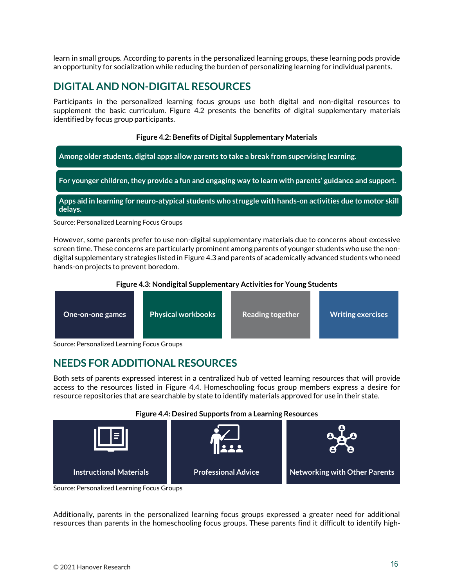learn in small groups. According to parents in the personalized learning groups, these learning pods provide an opportunity for socialization while reducing the burden of personalizing learning for individual parents.

### <span id="page-15-0"></span>**DIGITAL AND NON-DIGITAL RESOURCES**

Participants in the personalized learning focus groups use both digital and non-digital resources to supplement the basic curriculum. Figure 4.2 presents the benefits of digital supplementary materials identified by focus group participants.

#### **Figure 4.2: Benefits of Digital Supplementary Materials**



However, some parents prefer to use non-digital supplementary materials due to concerns about excessive screen time. These concerns are particularly prominent among parents of younger students who use the nondigital supplementary strategies listed in Figure 4.3 and parents of academically advanced students who need hands-on projects to prevent boredom.

#### **Figure 4.3: Nondigital Supplementary Activities for Young Students**



Source: Personalized Learning Focus Groups

## <span id="page-15-1"></span>**NEEDS FOR ADDITIONAL RESOURCES**

Both sets of parents expressed interest in a centralized hub of vetted learning resources that will provide access to the resources listed in Figure 4.4. Homeschooling focus group members express a desire for resource repositories that are searchable by state to identify materials approved for use in their state.

#### **Figure 4.4: Desired Supports from a Learning Resources**



Source: Personalized Learning Focus Groups

Additionally, parents in the personalized learning focus groups expressed a greater need for additional resources than parents in the homeschooling focus groups. These parents find it difficult to identify high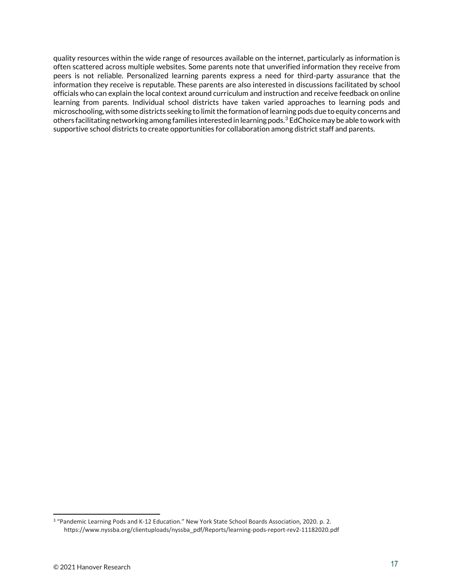quality resources within the wide range of resources available on the internet, particularly as information is often scattered across multiple websites. Some parents note that unverified information they receive from peers is not reliable. Personalized learning parents express a need for third-party assurance that the information they receive is reputable. These parents are also interested in discussions facilitated by school officials who can explain the local context around curriculum and instruction and receive feedback on online learning from parents. Individual school districts have taken varied approaches to learning pods and microschooling, with some districts seeking to limit the formation of learning pods due to equity concerns and others facilitating networking among families interested in learning pods.<sup>3</sup> EdChoice may be able to work with supportive school districts to create opportunities for collaboration among district staff and parents.

<sup>&</sup>lt;sup>3</sup> "Pandemic Learning Pods and K-12 Education." New York State School Boards Association, 2020. p. 2. https://www.nyssba.org/clientuploads/nyssba\_pdf/Reports/learning-pods-report-rev2-11182020.pdf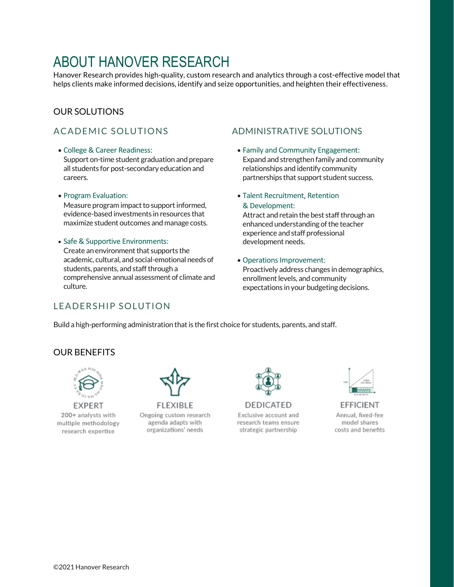# ABOUT HANOVER RESEARCH

Hanover Research provides high-quality, custom research and analytics through a cost-effective model that helps clients make informed decisions, identify and seize opportunities, and heighten their effectiveness.

#### OUR SOLUTIONS

#### • College & Career Readiness:

Support on-time student graduation and prepare all students for post-secondary education and careers.

#### • Program Evaluation:

Measure program impact to support informed, evidence-based investments in resources that maximize student outcomes and manage costs.

• Safe & Supportive Environments: Create an environment that supports the academic, cultural, and social-emotional needs of students, parents, and staff through a comprehensive annual assessment of climate and culture.

#### A CADEMIC SOLUTIONS ADMINISTRATIVE SOLUTIONS

- Family and Community Engagement: Expand and strengthen family and community relationships and identify community partnerships that support student success.
- Talent Recruitment, Retention & Development:

Attract and retain the best staff through an enhanced understanding of the teacher experience and staff professional development needs.

• Operations Improvement: Proactively address changes in demographics, enrollment levels, and community expectations in your budgeting decisions.

#### LEADERSHIP SOLUTION

Build a high-performing administration that is the first choice for students, parents, and staff.

#### OUR BENEFITS



**EXPERT** 200+ analysts with multiple methodology research expertise



FLEXIBLE Ongoing custom research agenda adapts with organizations' needs



**DEDICATED** Exclusive account and research teams ensure strategic partnership



**EFFICIENT** Annual, fixed-fee model shares costs and benefits